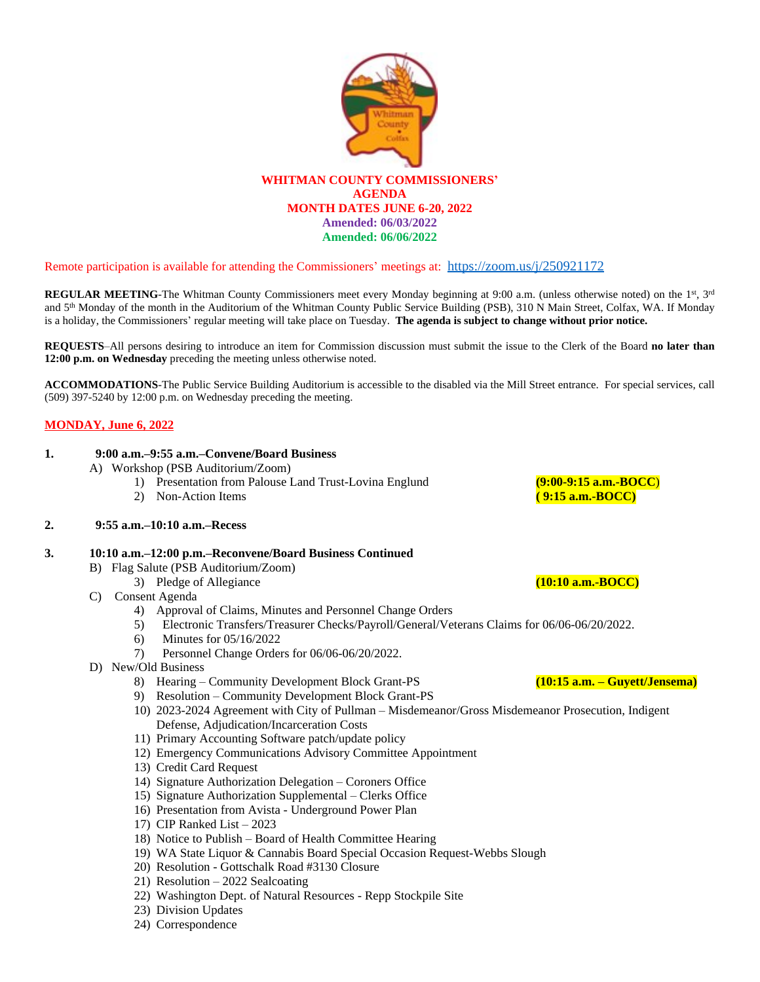

#### Remote participation is available for attending the Commissioners' meetings at: <https://zoom.us/j/250921172>

**REGULAR MEETING**-The Whitman County Commissioners meet every Monday beginning at 9:00 a.m. (unless otherwise noted) on the 1<sup>st</sup>, 3<sup>rd</sup> and 5 th Monday of the month in the Auditorium of the Whitman County Public Service Building (PSB), 310 N Main Street, Colfax, WA. If Monday is a holiday, the Commissioners' regular meeting will take place on Tuesday. **The agenda is subject to change without prior notice.**

**REQUESTS**–All persons desiring to introduce an item for Commission discussion must submit the issue to the Clerk of the Board **no later than 12:00 p.m. on Wednesday** preceding the meeting unless otherwise noted.

**ACCOMMODATIONS**-The Public Service Building Auditorium is accessible to the disabled via the Mill Street entrance. For special services, call (509) 397-5240 by 12:00 p.m. on Wednesday preceding the meeting.

#### **MONDAY, June 6, 2022**

#### **1. 9:00 a.m.–9:55 a.m.–Convene/Board Business**

- A) Workshop (PSB Auditorium/Zoom)
	- 1) Presentation from Palouse Land Trust-Lovina Englund **(9:00-9:15 a.m.-BOCC)**<br>2) Non-Action Items **(9:15 a.m.-BOCC**)
	- 2) Non-Action Items

#### **2. 9:55 a.m.–10:10 a.m.–Recess**

#### **3. 10:10 a.m.–12:00 p.m.–Reconvene/Board Business Continued**

- B) Flag Salute (PSB Auditorium/Zoom)
	- 3) Pledge of Allegiance **(10:10 a.m.-BOCC)**

#### C) Consent Agenda

- 4) Approval of Claims, Minutes and Personnel Change Orders
- 5) Electronic Transfers/Treasurer Checks/Payroll/General/Veterans Claims for 06/06-06/20/2022.
- 6) Minutes for 05/16/2022
- 7) Personnel Change Orders for 06/06-06/20/2022.
- D) New/Old Business
	- 8) Hearing Community Development Block Grant-PS **(10:15 a.m. – Guyett/Jensema)**
	- 9) Resolution Community Development Block Grant-PS
	- 10) 2023-2024 Agreement with City of Pullman Misdemeanor/Gross Misdemeanor Prosecution, Indigent Defense, Adjudication/Incarceration Costs
	- 11) Primary Accounting Software patch/update policy
	- 12) Emergency Communications Advisory Committee Appointment
	- 13) Credit Card Request
	- 14) Signature Authorization Delegation Coroners Office
	- 15) Signature Authorization Supplemental Clerks Office
	- 16) Presentation from Avista Underground Power Plan
	- 17) CIP Ranked List 2023
	- 18) Notice to Publish Board of Health Committee Hearing
	- 19) WA State Liquor & Cannabis Board Special Occasion Request-Webbs Slough
	- 20) Resolution Gottschalk Road #3130 Closure
	- 21) Resolution 2022 Sealcoating
	- 22) Washington Dept. of Natural Resources Repp Stockpile Site
	- 23) Division Updates
	- 24) Correspondence

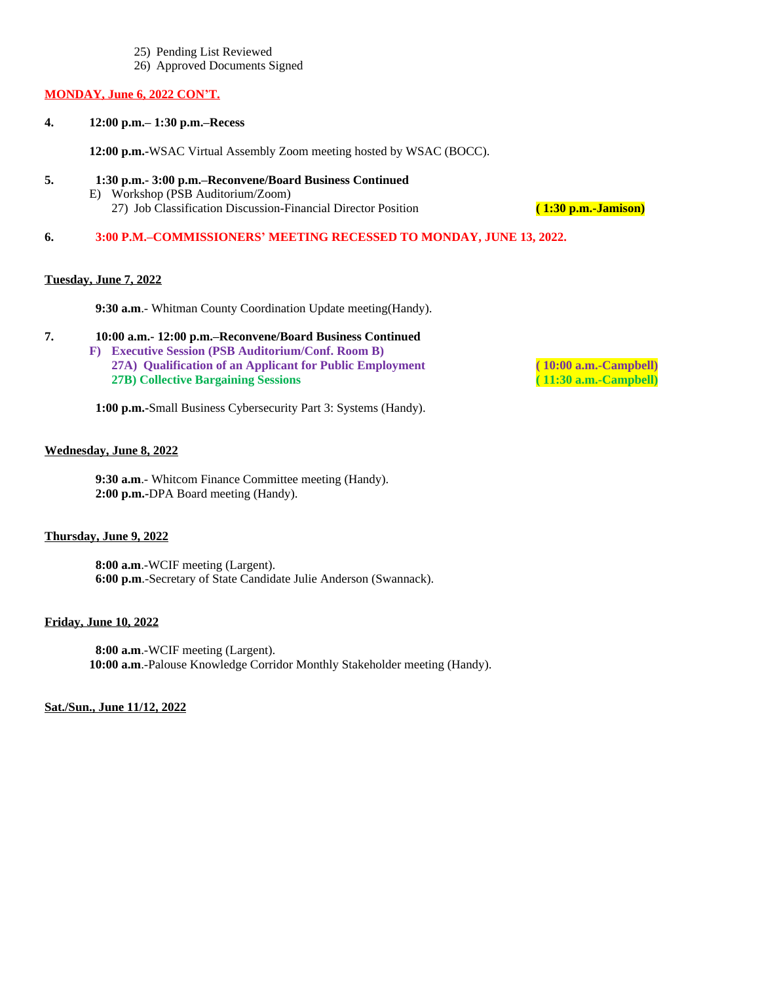- 25) Pending List Reviewed
- 26) Approved Documents Signed

#### **MONDAY, June 6, 2022 CON'T.**

**4. 12:00 p.m.– 1:30 p.m.–Recess**

**12:00 p.m.-**WSAC Virtual Assembly Zoom meeting hosted by WSAC (BOCC).

- **5. 1:30 p.m.- 3:00 p.m.–Reconvene/Board Business Continued**
	- E) Workshop (PSB Auditorium/Zoom) 27) Job Classification Discussion-Financial Director Position **( 1:30 p.m.-Jamison)**

**6. 3:00 P.M.–COMMISSIONERS' MEETING RECESSED TO MONDAY, JUNE 13, 2022.**

## **Tuesday, June 7, 2022**

**9:30 a.m**.- Whitman County Coordination Update meeting(Handy).

- **7. 10:00 a.m.- 12:00 p.m.–Reconvene/Board Business Continued**
	- **F) Executive Session (PSB Auditorium/Conf. Room B) 27A) Qualification of an Applicant for Public Employment ( 10:00 a.m.-Campbell) 27B) Collective Bargaining Sessions ( 11:30 a.m.-Campbell)**

**1:00 p.m.-**Small Business Cybersecurity Part 3: Systems (Handy).

# **Wednesday, June 8, 2022**

 **9:30 a.m**.- Whitcom Finance Committee meeting (Handy). **2:00 p.m.-**DPA Board meeting (Handy).

## **Thursday, June 9, 2022**

 **8:00 a.m**.-WCIF meeting (Largent). **6:00 p.m**.-Secretary of State Candidate Julie Anderson (Swannack).

## **Friday, June 10, 2022**

 **8:00 a.m**.-WCIF meeting (Largent). **10:00 a.m**.-Palouse Knowledge Corridor Monthly Stakeholder meeting (Handy).

#### **Sat./Sun., June 11/12, 2022**